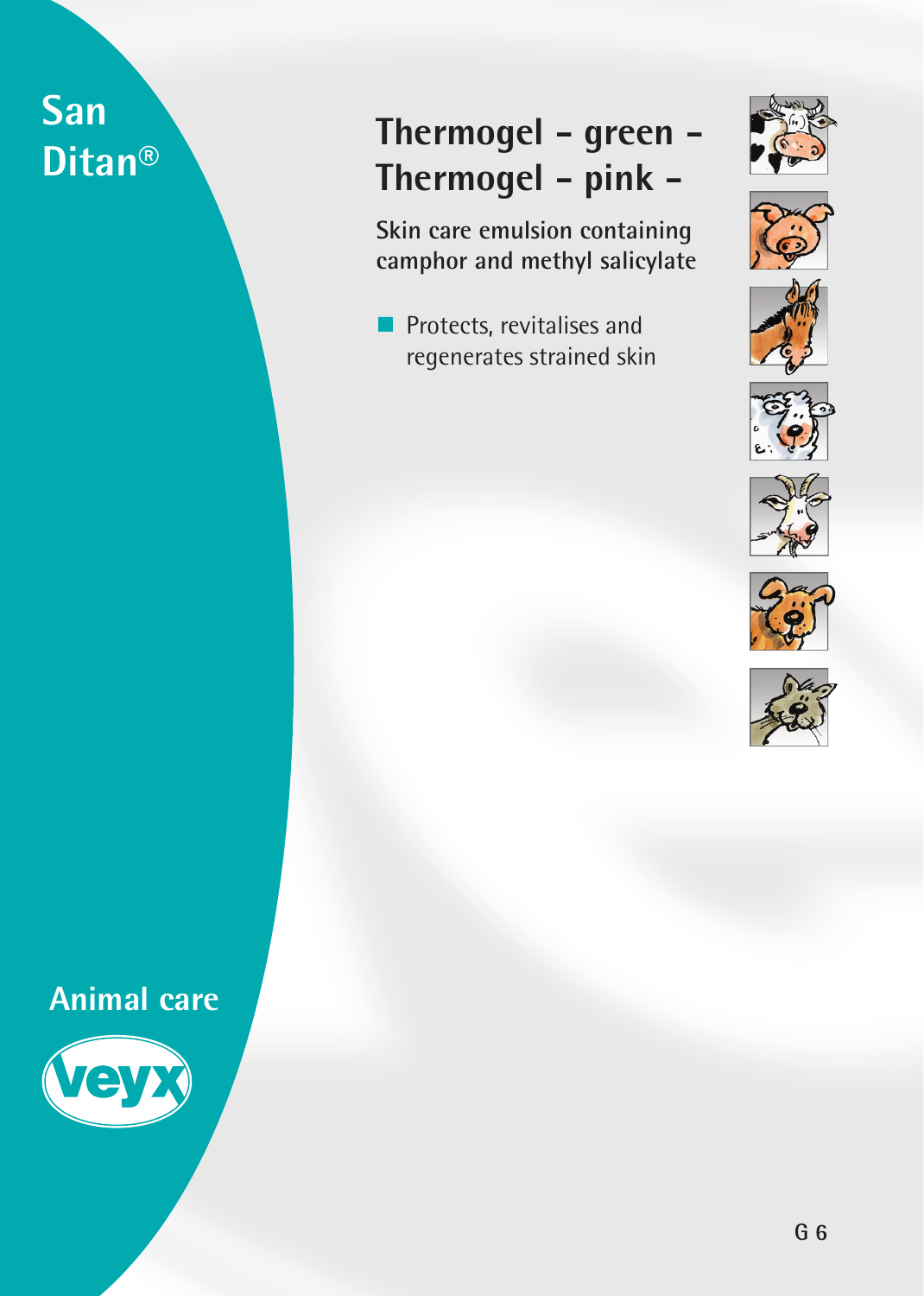# **San Ditan®**

## **Thermogel - green - Thermogel - pink -**

**Skin care emulsion containing camphor and methyl salicylate**

**Protects, revitalises and** regenerates strained skin















**Animal care**

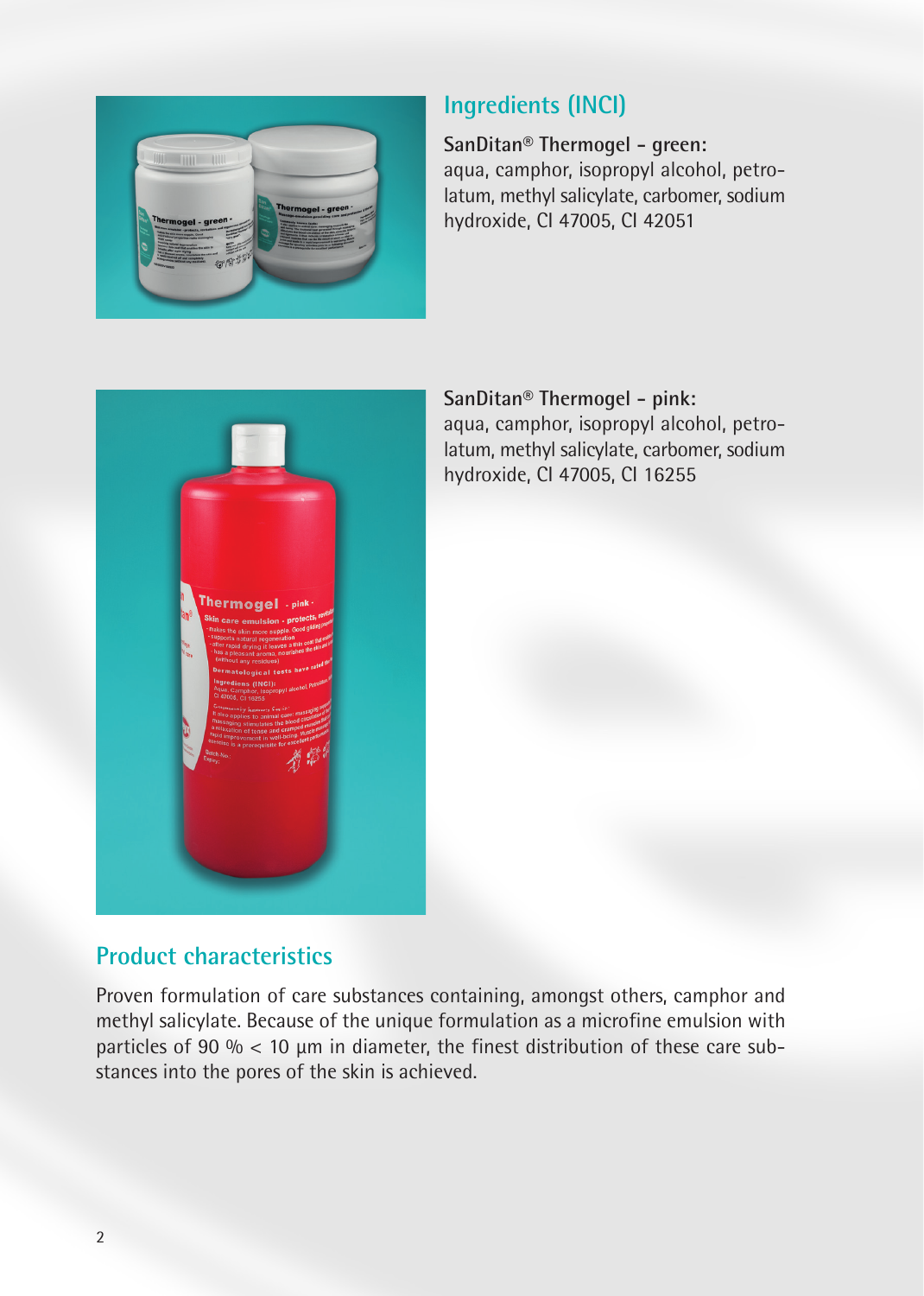

#### **Ingredients (INCI)**

**SanDitan® Thermogel - green:** aqua, camphor, isopropyl alcohol, petrolatum, methyl salicylate, carbomer, sodium hydroxide, CI 47005, CI 42051



**SanDitan® Thermogel - pink:** aqua, camphor, isopropyl alcohol, petrolatum, methyl salicylate, carbomer, sodium hydroxide, CI 47005, CI 16255

#### **Product characteristics**

Proven formulation of care substances containing, amongst others, camphor and methyl salicylate. Because of the unique formulation as a microfine emulsion with particles of 90 %  $<$  10  $\mu$ m in diameter, the finest distribution of these care substances into the pores of the skin is achieved.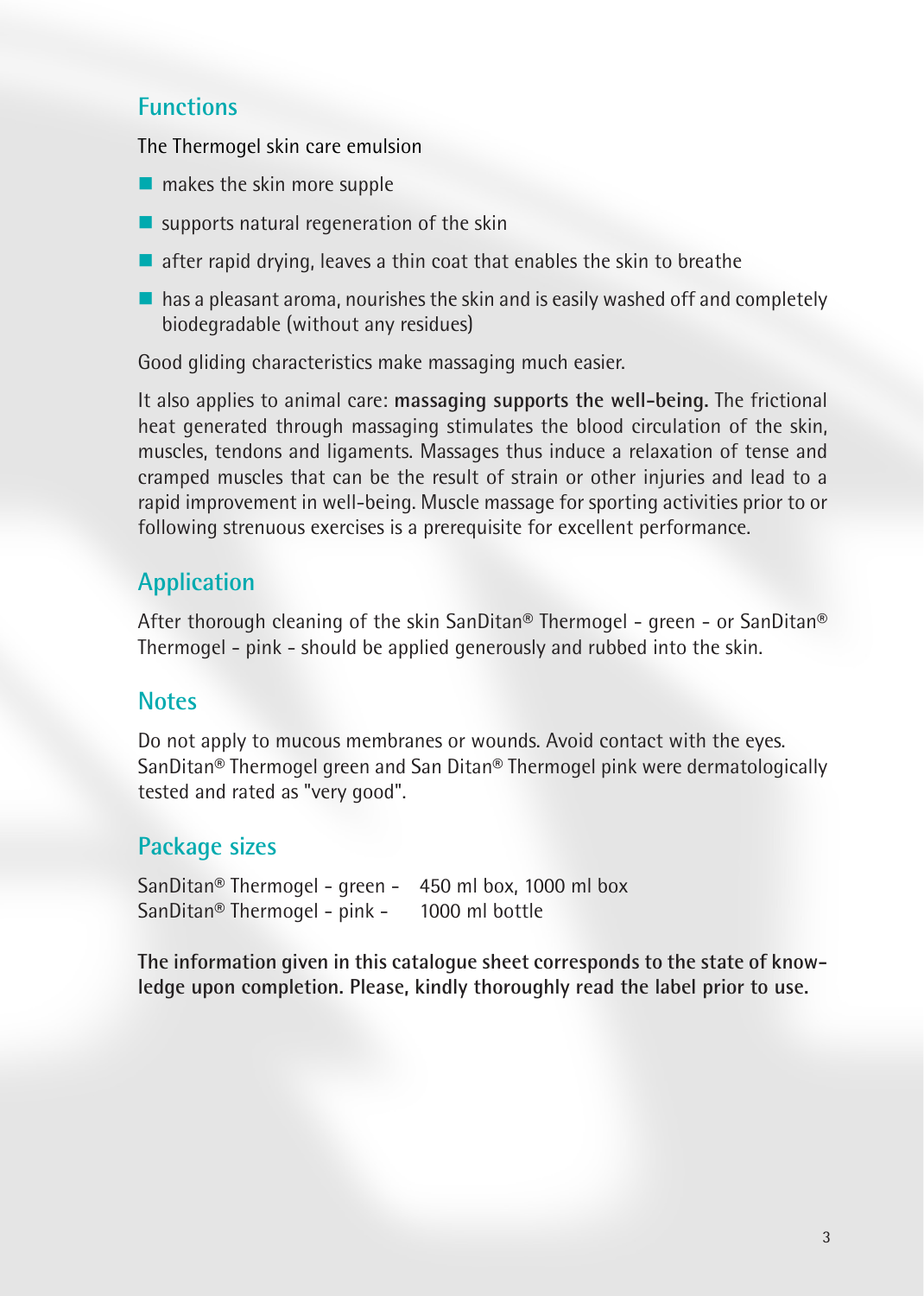#### **Functions**

The Thermogel skin care emulsion

- $\blacksquare$  makes the skin more supple
- $\blacksquare$  supports natural regeneration of the skin
- $\blacksquare$  after rapid drying, leaves a thin coat that enables the skin to breathe
- $\blacksquare$  has a pleasant aroma, nourishes the skin and is easily washed off and completely biodegradable (without any residues)

Good gliding characteristics make massaging much easier.

It also applies to animal care: **massaging supports the well-being.** The frictional heat generated through massaging stimulates the blood circulation of the skin, muscles, tendons and ligaments. Massages thus induce a relaxation of tense and cramped muscles that can be the result of strain or other injuries and lead to a rapid improvement in well-being. Muscle massage for sporting activities prior to or following strenuous exercises is a prerequisite for excellent performance.

### **Application**

After thorough cleaning of the skin SanDitan® Thermogel - green - or SanDitan® Thermogel - pink - should be applied generously and rubbed into the skin.

#### **Notes**

Do not apply to mucous membranes or wounds. Avoid contact with the eyes. SanDitan® Thermogel green and San Ditan® Thermogel pink were dermatologically tested and rated as "very good".

#### **Package sizes**

SanDitan® Thermogel - green - 450 ml box, 1000 ml box SanDitan® Thermogel - pink - 1000 ml bottle

**The information given in this catalogue sheet corresponds to the state of knowledge upon completion. Please, kindly thoroughly read the label prior to use.**